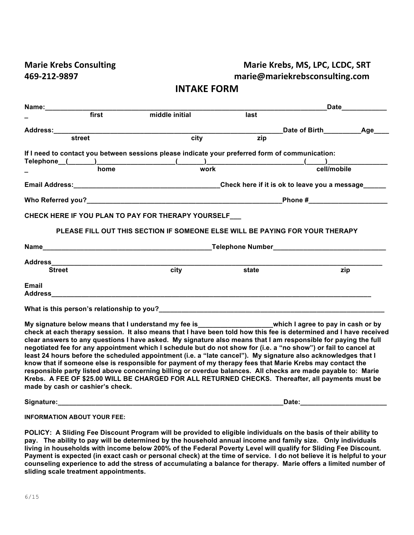## **Marie Krebs Consulting**  Marie Krebs, MS, LPC, LCDC, SRT **469-212-9897 marie@mariekrebsconsulting.com**

| <b>INTAKE FORM</b> |  |
|--------------------|--|
|--------------------|--|

|                                                                                                                                                                                                                                |                                  |                                                                                                                                                                                                                                                                                                                                                                                                                                                                                                                                                                                                                                                                                                                                                                                                                                                                                                                       |       |                   | Date____________ |
|--------------------------------------------------------------------------------------------------------------------------------------------------------------------------------------------------------------------------------|----------------------------------|-----------------------------------------------------------------------------------------------------------------------------------------------------------------------------------------------------------------------------------------------------------------------------------------------------------------------------------------------------------------------------------------------------------------------------------------------------------------------------------------------------------------------------------------------------------------------------------------------------------------------------------------------------------------------------------------------------------------------------------------------------------------------------------------------------------------------------------------------------------------------------------------------------------------------|-------|-------------------|------------------|
|                                                                                                                                                                                                                                | first                            | middle initial                                                                                                                                                                                                                                                                                                                                                                                                                                                                                                                                                                                                                                                                                                                                                                                                                                                                                                        | last  |                   |                  |
| Address: Andreas and the set of the set of the set of the set of the set of the set of the set of the set of the set of the set of the set of the set of the set of the set of the set of the set of the set of the set of the |                                  |                                                                                                                                                                                                                                                                                                                                                                                                                                                                                                                                                                                                                                                                                                                                                                                                                                                                                                                       |       | Date of Birth Age |                  |
|                                                                                                                                                                                                                                | street                           | $\overline{city}$                                                                                                                                                                                                                                                                                                                                                                                                                                                                                                                                                                                                                                                                                                                                                                                                                                                                                                     | zip   |                   |                  |
|                                                                                                                                                                                                                                |                                  | If I need to contact you between sessions please indicate your preferred form of communication:                                                                                                                                                                                                                                                                                                                                                                                                                                                                                                                                                                                                                                                                                                                                                                                                                       |       |                   |                  |
|                                                                                                                                                                                                                                |                                  | $\begin{picture}(150,10) \put(0,0){\vector(1,0){100}} \put(15,0){\vector(1,0){100}} \put(15,0){\vector(1,0){100}} \put(15,0){\vector(1,0){100}} \put(15,0){\vector(1,0){100}} \put(15,0){\vector(1,0){100}} \put(15,0){\vector(1,0){100}} \put(15,0){\vector(1,0){100}} \put(15,0){\vector(1,0){100}} \put(15,0){\vector(1,0){100}} \put(15,0){\vector(1,0){100}}$                                                                                                                                                                                                                                                                                                                                                                                                                                                                                                                                                    |       |                   |                  |
|                                                                                                                                                                                                                                |                                  |                                                                                                                                                                                                                                                                                                                                                                                                                                                                                                                                                                                                                                                                                                                                                                                                                                                                                                                       |       | cell/mobile       |                  |
|                                                                                                                                                                                                                                |                                  |                                                                                                                                                                                                                                                                                                                                                                                                                                                                                                                                                                                                                                                                                                                                                                                                                                                                                                                       |       |                   |                  |
|                                                                                                                                                                                                                                |                                  |                                                                                                                                                                                                                                                                                                                                                                                                                                                                                                                                                                                                                                                                                                                                                                                                                                                                                                                       |       |                   |                  |
|                                                                                                                                                                                                                                |                                  | CHECK HERE IF YOU PLAN TO PAY FOR THERAPY YOURSELF_                                                                                                                                                                                                                                                                                                                                                                                                                                                                                                                                                                                                                                                                                                                                                                                                                                                                   |       |                   |                  |
|                                                                                                                                                                                                                                |                                  | PLEASE FILL OUT THIS SECTION IF SOMEONE ELSE WILL BE PAYING FOR YOUR THERAPY                                                                                                                                                                                                                                                                                                                                                                                                                                                                                                                                                                                                                                                                                                                                                                                                                                          |       |                   |                  |
|                                                                                                                                                                                                                                |                                  |                                                                                                                                                                                                                                                                                                                                                                                                                                                                                                                                                                                                                                                                                                                                                                                                                                                                                                                       |       |                   |                  |
|                                                                                                                                                                                                                                |                                  |                                                                                                                                                                                                                                                                                                                                                                                                                                                                                                                                                                                                                                                                                                                                                                                                                                                                                                                       |       |                   |                  |
|                                                                                                                                                                                                                                |                                  |                                                                                                                                                                                                                                                                                                                                                                                                                                                                                                                                                                                                                                                                                                                                                                                                                                                                                                                       | state |                   | zip              |
| Email                                                                                                                                                                                                                          |                                  |                                                                                                                                                                                                                                                                                                                                                                                                                                                                                                                                                                                                                                                                                                                                                                                                                                                                                                                       |       |                   |                  |
|                                                                                                                                                                                                                                |                                  |                                                                                                                                                                                                                                                                                                                                                                                                                                                                                                                                                                                                                                                                                                                                                                                                                                                                                                                       |       |                   |                  |
|                                                                                                                                                                                                                                | made by cash or cashier's check. | My signature below means that I understand my fee is___________________which I agree to pay in cash or by<br>check at each therapy session. It also means that I have been told how this fee is determined and I have received<br>clear answers to any questions I have asked. My signature also means that I am responsible for paying the full<br>negotiated fee for any appointment which I schedule but do not show for (i.e. a "no show") or fail to cancel at<br>least 24 hours before the scheduled appointment (i.e. a "late cancel"). My signature also acknowledges that I<br>know that if someone else is responsible for payment of my therapy fees that Marie Krebs may contact the<br>responsible party listed above concerning billing or overdue balances. All checks are made payable to: Marie<br>Krebs. A FEE OF \$25.00 WILL BE CHARGED FOR ALL RETURNED CHECKS. Thereafter, all payments must be |       |                   |                  |

**Signature:\_\_\_\_\_\_\_\_\_\_\_\_\_\_\_\_\_\_\_\_\_\_\_\_\_\_\_\_\_\_\_\_\_\_\_\_\_\_\_\_\_\_\_\_\_\_\_\_\_\_\_\_\_\_\_\_\_\_\_\_Date:\_\_\_\_\_\_\_\_\_\_\_\_\_\_\_\_\_\_\_\_\_\_\_**

**INFORMATION ABOUT YOUR FEE:**

**POLICY: A Sliding Fee Discount Program will be provided to eligible individuals on the basis of their ability to pay. The ability to pay will be determined by the household annual income and family size. Only individuals living in households with income below 200% of the Federal Poverty Level will qualify for Sliding Fee Discount. Payment is expected (in exact cash or personal check) at the time of service. I do not believe it is helpful to your counseling experience to add the stress of accumulating a balance for therapy. Marie offers a limited number of sliding scale treatment appointments.**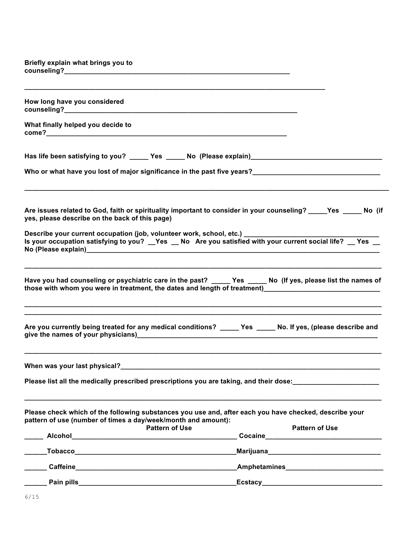**Briefly explain what brings you to counseling?\_\_\_\_\_\_\_\_\_\_\_\_\_\_\_\_\_\_\_\_\_\_\_\_\_\_\_\_\_\_\_\_\_\_\_\_\_\_\_\_\_\_\_\_\_\_\_\_\_\_\_\_\_\_\_\_\_\_\_\_ \_\_\_\_\_\_\_\_\_\_\_\_\_\_\_\_\_\_\_\_\_\_\_\_\_\_\_\_\_\_\_\_\_\_\_\_\_\_\_\_\_\_\_\_\_\_\_\_\_\_\_\_\_\_\_\_\_\_\_\_\_\_\_\_\_\_\_\_\_\_\_\_\_\_\_\_\_\_\_\_ How long have you considered** 

**What finally helped you decide to come?\_\_\_\_\_\_\_\_\_\_\_\_\_\_\_\_\_\_\_\_\_\_\_\_\_\_\_\_\_\_\_\_\_\_\_\_\_\_\_\_\_\_\_\_\_\_\_\_\_\_\_\_\_\_\_\_\_\_\_\_\_\_\_\_**

**counseling?\_\_\_\_\_\_\_\_\_\_\_\_\_\_\_\_\_\_\_\_\_\_\_\_\_\_\_\_\_\_\_\_\_\_\_\_\_\_\_\_\_\_\_\_\_\_\_\_\_\_\_\_\_\_\_\_\_\_\_\_\_\_**

**Has life been satisfying to you? \_\_\_\_\_ Yes \_\_\_\_\_ No (Please explain)\_\_\_\_\_\_\_\_\_\_\_\_\_\_\_\_\_\_\_\_\_\_\_\_\_\_\_\_\_\_\_\_\_\_\_**

|  |  | Who or what have you lost of major significance in the past five years? |
|--|--|-------------------------------------------------------------------------|
|  |  |                                                                         |

| Are issues related to God, faith or spirituality important to consider in your counseling? _____ Yes |  | No (if |  |
|------------------------------------------------------------------------------------------------------|--|--------|--|
| yes, please describe on the back of this page)                                                       |  |        |  |

**\_\_\_\_\_\_\_\_\_\_\_\_\_\_\_\_\_\_\_\_\_\_\_\_\_\_\_\_\_\_\_\_\_\_\_\_\_\_\_\_\_\_\_\_\_\_\_\_\_\_\_\_\_\_\_\_\_\_\_\_\_\_\_\_\_\_\_\_\_\_\_\_\_\_\_\_\_\_\_\_\_\_\_\_\_\_\_\_\_\_\_\_\_\_\_\_\_**

**Who or what have you lost of major significance in the past five years?\_\_\_\_\_\_\_\_\_\_\_\_\_\_\_\_\_\_\_\_\_\_\_\_\_\_\_\_\_\_\_\_\_\_**

| Describe your current occupation (job, volunteer work, school, etc.) |  |  |                                                                                                        |  |
|----------------------------------------------------------------------|--|--|--------------------------------------------------------------------------------------------------------|--|
|                                                                      |  |  | Is your occupation satisfying to you? _Yes _ No Are you satisfied with your current social life? _ Yes |  |
| No (Please explain)                                                  |  |  |                                                                                                        |  |

| Have you had counseling or psychiatric care in the past?                  | <b>Yes</b> | No (If yes, please list the names of |
|---------------------------------------------------------------------------|------------|--------------------------------------|
| those with whom you were in treatment, the dates and length of treatment) |            |                                      |

**\_\_\_\_\_\_\_\_\_\_\_\_\_\_\_\_\_\_\_\_\_\_\_\_\_\_\_\_\_\_\_\_\_\_\_\_\_\_\_\_\_\_\_\_\_\_\_\_\_\_\_\_\_\_\_\_\_\_\_\_\_\_\_\_\_\_\_\_\_\_\_\_\_\_\_\_\_\_\_\_\_\_\_\_\_\_\_\_\_\_\_\_\_\_\_ \_\_\_\_\_\_\_\_\_\_\_\_\_\_\_\_\_\_\_\_\_\_\_\_\_\_\_\_\_\_\_\_\_\_\_\_\_\_\_\_\_\_\_\_\_\_\_\_\_\_\_\_\_\_\_\_\_\_\_\_\_\_\_\_\_\_\_\_\_\_\_\_\_\_\_\_\_\_\_\_\_\_\_\_\_\_\_\_\_\_\_\_\_\_\_**

**\_\_\_\_\_\_\_\_\_\_\_\_\_\_\_\_\_\_\_\_\_\_\_\_\_\_\_\_\_\_\_\_\_\_\_\_\_\_\_\_\_\_\_\_\_\_\_\_\_\_\_\_\_\_\_\_\_\_\_\_\_\_\_\_\_\_\_\_\_\_\_\_\_\_\_\_\_\_\_\_\_\_\_\_\_\_\_\_\_\_\_\_\_\_\_**

| Are you currently being treated for any medical conditions? | <b>Yes</b> | No. If yes, (please describe and |
|-------------------------------------------------------------|------------|----------------------------------|
| give the names of your physicians)                          |            |                                  |

**\_\_\_\_\_\_\_\_\_\_\_\_\_\_\_\_\_\_\_\_\_\_\_\_\_\_\_\_\_\_\_\_\_\_\_\_\_\_\_\_\_\_\_\_\_\_\_\_\_\_\_\_\_\_\_\_\_\_\_\_\_\_\_\_\_\_\_\_\_\_\_\_\_\_\_\_\_\_\_\_\_\_\_\_\_\_\_\_\_\_\_\_\_\_\_**

**\_\_\_\_\_\_\_\_\_\_\_\_\_\_\_\_\_\_\_\_\_\_\_\_\_\_\_\_\_\_\_\_\_\_\_\_\_\_\_\_\_\_\_\_\_\_\_\_\_\_\_\_\_\_\_\_\_\_\_\_\_\_\_\_\_\_\_\_\_\_\_\_\_\_\_\_\_\_\_\_\_\_\_\_\_\_\_\_\_\_\_\_\_\_\_**

**When was your last physical?\_\_\_\_\_\_\_\_\_\_\_\_\_\_\_\_\_\_\_\_\_\_\_\_\_\_\_\_\_\_\_\_\_\_\_\_\_\_\_\_\_\_\_\_\_\_\_\_\_\_\_\_\_\_\_\_\_\_\_\_\_\_\_\_\_\_\_\_\_**

Please list all the medically prescribed prescriptions you are taking, and their dose:<br><u>\_\_\_\_\_\_\_\_\_\_\_\_\_\_\_\_\_\_\_\_\_\_\_\_\_\_\_\_\_\_</u>

| Please check which of the following substances you use and, after each you have checked, describe your |                       |
|--------------------------------------------------------------------------------------------------------|-----------------------|
| pattern of use (number of times a day/week/month and amount):                                          |                       |
| <b>Pattern of Use</b>                                                                                  | <b>Pattern of Use</b> |

| <b>Alcohol</b>  | . | .<br>Cocaine   |
|-----------------|---|----------------|
| <b>Tobacco</b>  |   | Marijuana      |
| <b>Caffeine</b> |   | Amphetamines   |
| Pain pills      |   | <b>Ecstacy</b> |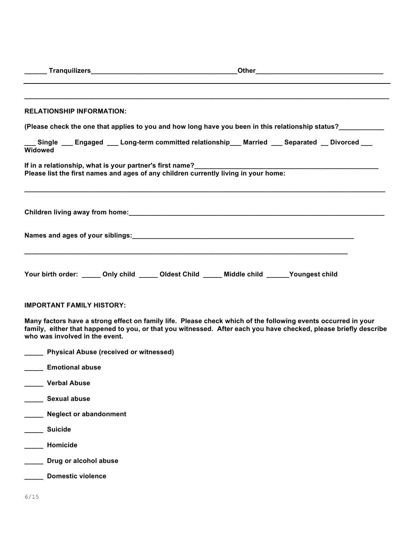|                        | <b>RELATIONSHIP INFORMATION:</b>                                                              |  |                                                                                                                                                                                                                                   |  |
|------------------------|-----------------------------------------------------------------------------------------------|--|-----------------------------------------------------------------------------------------------------------------------------------------------------------------------------------------------------------------------------------|--|
|                        |                                                                                               |  | (Please check the one that applies to you and how long have you been in this relationship status?                                                                                                                                 |  |
| <b>Widowed</b>         |                                                                                               |  | Single ___ Engaged ___ Long-term committed relationship___ Married ___ Separated __ Divorced ___                                                                                                                                  |  |
|                        |                                                                                               |  | If in a relationship, what is your partner's first name?<br>Please list the first names and ages of any children currently living in your home:                                                                                   |  |
|                        |                                                                                               |  |                                                                                                                                                                                                                                   |  |
|                        |                                                                                               |  |                                                                                                                                                                                                                                   |  |
|                        | Your birth order: _____ Only child _____ Oldest Child _____ Middle child _____ Youngest child |  |                                                                                                                                                                                                                                   |  |
|                        | <b>IMPORTANT FAMILY HISTORY:</b>                                                              |  |                                                                                                                                                                                                                                   |  |
|                        | who was involved in the event.                                                                |  | Many factors have a strong effect on family life. Please check which of the following events occurred in your<br>family, either that happened to you, or that you witnessed. After each you have checked, please briefly describe |  |
|                        | Physical Abuse (received or witnessed)                                                        |  |                                                                                                                                                                                                                                   |  |
| <b>Emotional abuse</b> |                                                                                               |  |                                                                                                                                                                                                                                   |  |
| <b>Verbal Abuse</b>    |                                                                                               |  |                                                                                                                                                                                                                                   |  |
| <b>Sexual abuse</b>    |                                                                                               |  |                                                                                                                                                                                                                                   |  |
|                        | <b>Neglect or abandonment</b>                                                                 |  |                                                                                                                                                                                                                                   |  |
| <b>Suicide</b>         |                                                                                               |  |                                                                                                                                                                                                                                   |  |
| Homicide               |                                                                                               |  |                                                                                                                                                                                                                                   |  |
|                        | Drug or alcohol abuse                                                                         |  |                                                                                                                                                                                                                                   |  |
|                        | <b>Domestic violence</b>                                                                      |  |                                                                                                                                                                                                                                   |  |
| 6/15                   |                                                                                               |  |                                                                                                                                                                                                                                   |  |